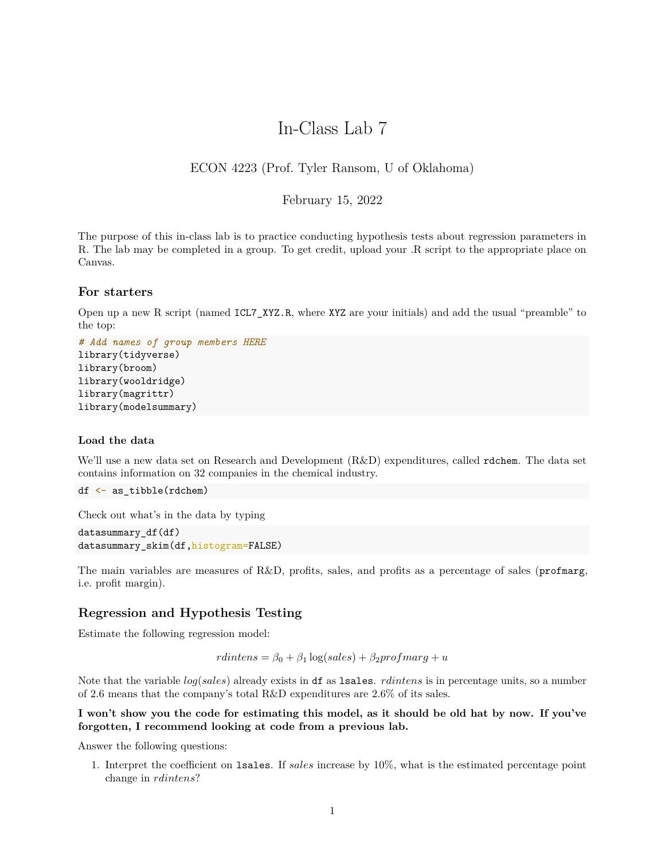# In-Class Lab 7

# ECON 4223 (Prof. Tyler Ransom, U of Oklahoma)

### February 15, 2022

The purpose of this in-class lab is to practice conducting hypothesis tests about regression parameters in R. The lab may be completed in a group. To get credit, upload your .R script to the appropriate place on Canvas.

# **For starters**

Open up a new R script (named ICL7\_XYZ.R, where XYZ are your initials) and add the usual "preamble" to the top:

```
# Add names of group members HERE
library(tidyverse)
library(broom)
library(wooldridge)
library(magrittr)
library(modelsummary)
```
#### **Load the data**

We'll use a new data set on Research and Development (R&D) expenditures, called rdchem. The data set contains information on 32 companies in the chemical industry.

```
df <- as_tibble(rdchem)
```
Check out what's in the data by typing

```
datasummary_df(df)
datasummary_skim(df,histogram=FALSE)
```
The main variables are measures of R&D, profits, sales, and profits as a percentage of sales (profmarg, i.e. profit margin).

## **Regression and Hypothesis Testing**

Estimate the following regression model:

 $r \cdot dintens = \beta_0 + \beta_1 \log(sales) + \beta_2 \cdot profmarg + u$ 

Note that the variable *log*(*sales*) already exists in df as lsales. *rdintens* is in percentage units, so a number of 2.6 means that the company's total R&D expenditures are 2.6% of its sales.

## **I won't show you the code for estimating this model, as it should be old hat by now. If you've forgotten, I recommend looking at code from a previous lab.**

Answer the following questions:

1. Interpret the coefficient on lsales. If *sales* increase by 10%, what is the estimated percentage point change in *rdintens*?